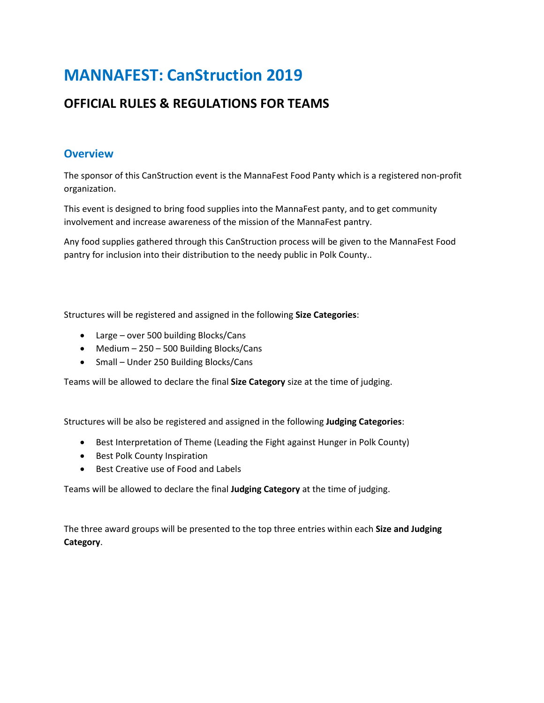# **MANNAFEST: CanStruction 2019**

## **OFFICIAL RULES & REGULATIONS FOR TEAMS**

## **Overview**

The sponsor of this CanStruction event is the MannaFest Food Panty which is a registered non-profit organization.

This event is designed to bring food supplies into the MannaFest panty, and to get community involvement and increase awareness of the mission of the MannaFest pantry.

Any food supplies gathered through this CanStruction process will be given to the MannaFest Food pantry for inclusion into their distribution to the needy public in Polk County..

Structures will be registered and assigned in the following **Size Categories**:

- Large over 500 building Blocks/Cans
- Medium 250 500 Building Blocks/Cans
- Small Under 250 Building Blocks/Cans

Teams will be allowed to declare the final **Size Category** size at the time of judging.

Structures will be also be registered and assigned in the following **Judging Categories**:

- Best Interpretation of Theme (Leading the Fight against Hunger in Polk County)
- Best Polk County Inspiration
- Best Creative use of Food and Labels

Teams will be allowed to declare the final **Judging Category** at the time of judging.

The three award groups will be presented to the top three entries within each **Size and Judging Category**.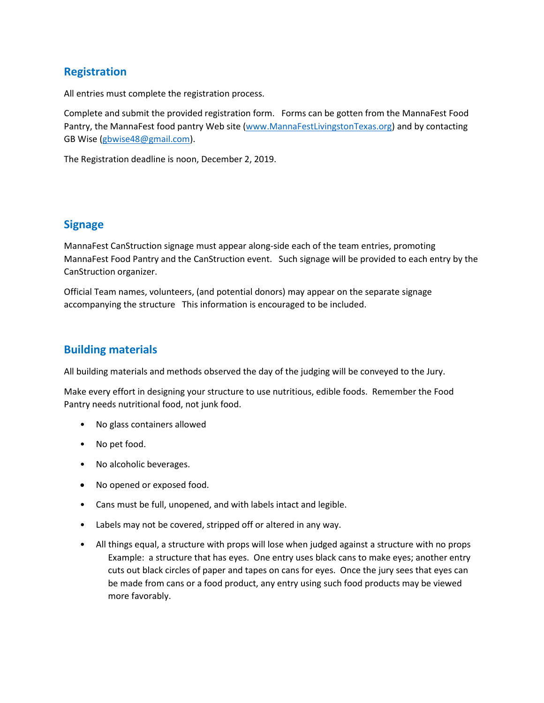## **Registration**

All entries must complete the registration process.

Complete and submit the provided registration form. Forms can be gotten from the MannaFest Food Pantry, the MannaFest food pantry Web site [\(www.MannaFestLivingstonTexas.org\)](http://www.mannafestlivingstontexas.org/) and by contacting GB Wise [\(gbwise48@gmail.com\)](mailto:gbwise48@gmail.com).

The Registration deadline is noon, December 2, 2019.

#### **Signage**

MannaFest CanStruction signage must appear along-side each of the team entries, promoting MannaFest Food Pantry and the CanStruction event. Such signage will be provided to each entry by the CanStruction organizer.

Official Team names, volunteers, (and potential donors) may appear on the separate signage accompanying the structure This information is encouraged to be included.

#### **Building materials**

All building materials and methods observed the day of the judging will be conveyed to the Jury.

Make every effort in designing your structure to use nutritious, edible foods. Remember the Food Pantry needs nutritional food, not junk food.

- No glass containers allowed
- No pet food.
- No alcoholic beverages.
- No opened or exposed food.
- Cans must be full, unopened, and with labels intact and legible.
- Labels may not be covered, stripped off or altered in any way.
- All things equal, a structure with props will lose when judged against a structure with no props Example: a structure that has eyes. One entry uses black cans to make eyes; another entry cuts out black circles of paper and tapes on cans for eyes. Once the jury sees that eyes can be made from cans or a food product, any entry using such food products may be viewed more favorably.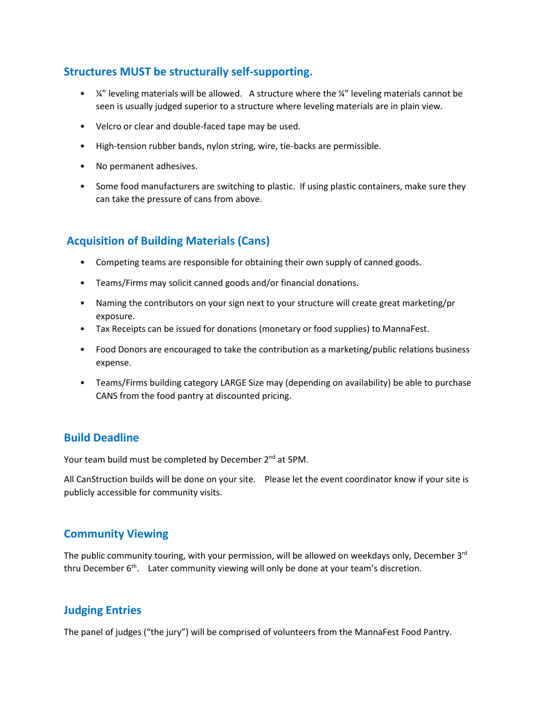## **Structures MUST be structurally self-supporting.**

- $\frac{1}{4}$ " leveling materials will be allowed. A structure where the  $\frac{1}{4}$ " leveling materials cannot be seen is usually judged superior to a structure where leveling materials are in plain view.
- Velcro or clear and double-faced tape may be used.
- High-tension rubber bands, nylon string, wire, tie-backs are permissible.
- No permanent adhesives.
- Some food manufacturers are switching to plastic. If using plastic containers, make sure they can take the pressure of cans from above.

## **Acquisition of Building Materials (Cans)**

- Competing teams are responsible for obtaining their own supply of canned goods.
- Teams/Firms may solicit canned goods and/or financial donations.
- Naming the contributors on your sign next to your structure will create great marketing/pr exposure.
- Tax Receipts can be issued for donations (monetary or food supplies) to MannaFest.
- Food Donors are encouraged to take the contribution as a marketing/public relations business expense.
- Teams/Firms building category LARGE Size may (depending on availability) be able to purchase CANS from the food pantry at discounted pricing.

## **Build Deadline**

Your team build must be completed by December 2<sup>nd</sup> at 5PM.

All CanStruction builds will be done on your site. Please let the event coordinator know if your site is publicly accessible for community visits.

## **Community Viewing**

The public community touring, with your permission, will be allowed on weekdays only, December  $3<sup>rd</sup>$ thru December 6<sup>th</sup>. Later community viewing will only be done at your team's discretion.

## **Judging Entries**

The panel of judges ("the jury") will be comprised of volunteers from the MannaFest Food Pantry.